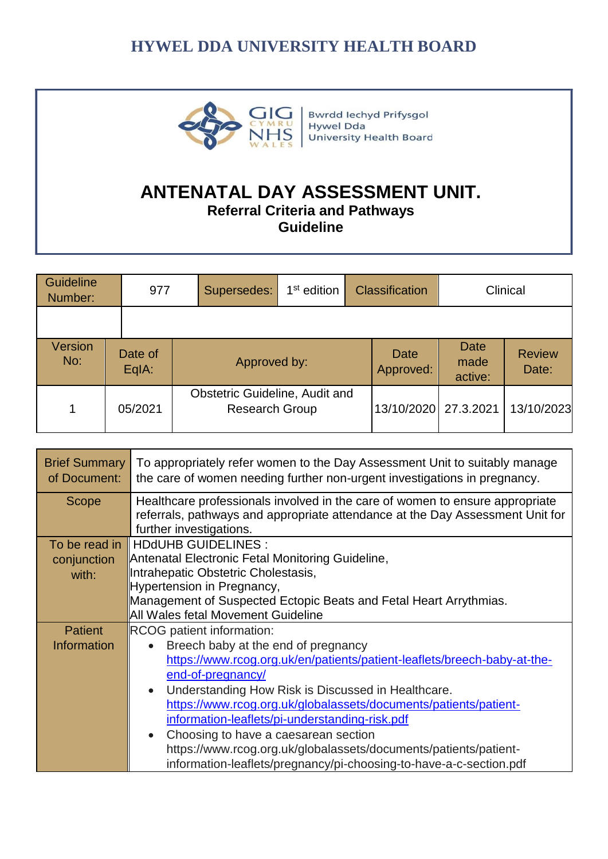

**Bwrdd lechyd Prifysgol** Hywel Dda University Health Board

# **ANTENATAL DAY ASSESSMENT UNIT.**

**Referral Criteria and Pathways** 

**Guideline**

| Guideline<br>Number: | 977                | Supersedes:                                                    | $1st$ edition | <b>Classification</b>    | Clinical                |                        |
|----------------------|--------------------|----------------------------------------------------------------|---------------|--------------------------|-------------------------|------------------------|
|                      |                    |                                                                |               |                          |                         |                        |
| Version<br>No:       | Date of<br>$EqA$ : | Approved by:                                                   |               | <b>Date</b><br>Approved: | Date<br>made<br>active: | <b>Review</b><br>Date: |
| $\mathbf 1$          | 05/2021            | <b>Obstetric Guideline, Audit and</b><br><b>Research Group</b> |               | 13/10/2020               | 27.3.2021               | 13/10/2023             |

| <b>Brief Summary</b><br>of Document: | To appropriately refer women to the Day Assessment Unit to suitably manage<br>the care of women needing further non-urgent investigations in pregnancy.                                  |
|--------------------------------------|------------------------------------------------------------------------------------------------------------------------------------------------------------------------------------------|
| Scope                                | Healthcare professionals involved in the care of women to ensure appropriate<br>referrals, pathways and appropriate attendance at the Day Assessment Unit for<br>further investigations. |
|                                      | To be read in    HDdUHB GUIDELINES :                                                                                                                                                     |
| conjunction                          | Antenatal Electronic Fetal Monitoring Guideline,                                                                                                                                         |
| with:                                | Intrahepatic Obstetric Cholestasis,                                                                                                                                                      |
|                                      | Hypertension in Pregnancy,                                                                                                                                                               |
|                                      | Management of Suspected Ectopic Beats and Fetal Heart Arrythmias.                                                                                                                        |
|                                      | All Wales fetal Movement Guideline                                                                                                                                                       |
| <b>Patient</b>                       | RCOG patient information:                                                                                                                                                                |
| <b>Information</b>                   | Breech baby at the end of pregnancy<br>$\bullet$                                                                                                                                         |
|                                      | https://www.rcog.org.uk/en/patients/patient-leaflets/breech-baby-at-the-                                                                                                                 |
|                                      | end-of-pregnancy/                                                                                                                                                                        |
|                                      | Understanding How Risk is Discussed in Healthcare.<br>$\bullet$                                                                                                                          |
|                                      | https://www.rcog.org.uk/globalassets/documents/patients/patient-                                                                                                                         |
|                                      | information-leaflets/pi-understanding-risk.pdf                                                                                                                                           |
|                                      | Choosing to have a caesarean section<br>$\bullet$                                                                                                                                        |
|                                      | https://www.rcog.org.uk/globalassets/documents/patients/patient-                                                                                                                         |
|                                      | information-leaflets/pregnancy/pi-choosing-to-have-a-c-section.pdf                                                                                                                       |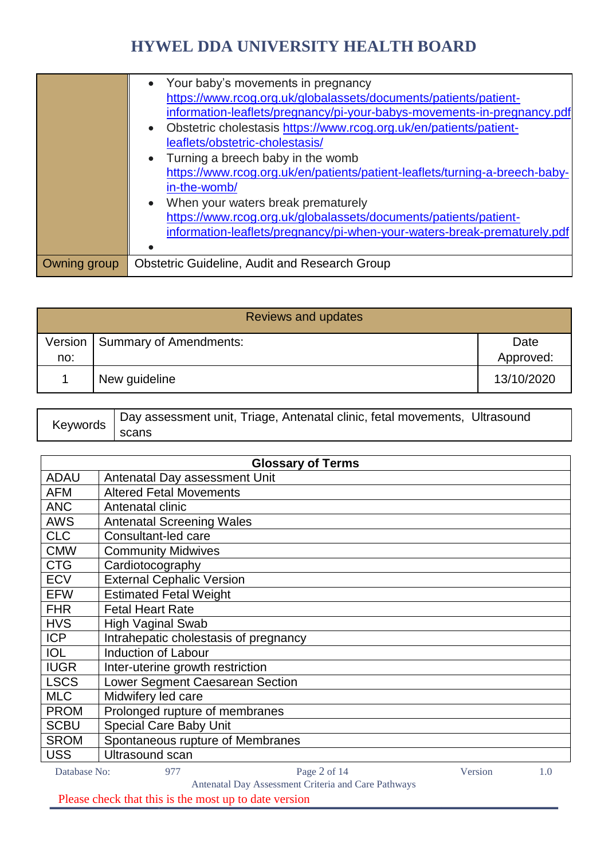|              | • Your baby's movements in pregnancy<br>https://www.rcog.org.uk/globalassets/documents/patients/patient-<br>information-leaflets/pregnancy/pi-your-babys-movements-in-pregnancy.pdf<br>Obstetric cholestasis https://www.rcog.org.uk/en/patients/patient-<br>leaflets/obstetric-cholestasis/<br>Turning a breech baby in the womb<br>https://www.rcog.org.uk/en/patients/patient-leaflets/turning-a-breech-baby-<br>in-the-womb/<br>When your waters break prematurely<br>https://www.rcog.org.uk/globalassets/documents/patients/patient-<br>information-leaflets/pregnancy/pi-when-your-waters-break-prematurely.pdf |
|--------------|------------------------------------------------------------------------------------------------------------------------------------------------------------------------------------------------------------------------------------------------------------------------------------------------------------------------------------------------------------------------------------------------------------------------------------------------------------------------------------------------------------------------------------------------------------------------------------------------------------------------|
| Owning group | <b>Obstetric Guideline, Audit and Research Group</b>                                                                                                                                                                                                                                                                                                                                                                                                                                                                                                                                                                   |

| <b>Reviews and updates</b> |                                  |                   |  |
|----------------------------|----------------------------------|-------------------|--|
| no:                        | Version   Summary of Amendments: | Date<br>Approved: |  |
|                            | New guideline                    | 13/10/2020        |  |

| Keywords | Day assessment unit, Triage, Antenatal clinic, fetal movements, Ultrasound |
|----------|----------------------------------------------------------------------------|
|          | scans                                                                      |

|              | <b>Glossary of Terms</b>                            |         |     |
|--------------|-----------------------------------------------------|---------|-----|
| <b>ADAU</b>  | Antenatal Day assessment Unit                       |         |     |
| AFM          | <b>Altered Fetal Movements</b>                      |         |     |
| <b>ANC</b>   | Antenatal clinic                                    |         |     |
| <b>AWS</b>   | <b>Antenatal Screening Wales</b>                    |         |     |
| <b>CLC</b>   | Consultant-led care                                 |         |     |
| <b>CMW</b>   | <b>Community Midwives</b>                           |         |     |
| <b>CTG</b>   | Cardiotocography                                    |         |     |
| <b>ECV</b>   | <b>External Cephalic Version</b>                    |         |     |
| <b>EFW</b>   | <b>Estimated Fetal Weight</b>                       |         |     |
| <b>FHR</b>   | <b>Fetal Heart Rate</b>                             |         |     |
| <b>HVS</b>   | <b>High Vaginal Swab</b>                            |         |     |
| <b>ICP</b>   | Intrahepatic cholestasis of pregnancy               |         |     |
| <b>IOL</b>   | <b>Induction of Labour</b>                          |         |     |
| <b>IUGR</b>  | Inter-uterine growth restriction                    |         |     |
| <b>LSCS</b>  | Lower Segment Caesarean Section                     |         |     |
| <b>MLC</b>   | Midwifery led care                                  |         |     |
| <b>PROM</b>  | Prolonged rupture of membranes                      |         |     |
| <b>SCBU</b>  | <b>Special Care Baby Unit</b>                       |         |     |
| <b>SROM</b>  | Spontaneous rupture of Membranes                    |         |     |
| <b>USS</b>   | Ultrasound scan                                     |         |     |
| Database No: | Page 2 of 14<br>977                                 | Version | 1.0 |
|              | Antonatal Day Associated Criteria and Care Pathways |         |     |

Antenatal Day Assessment Criteria and Care Pathways

Please check that this is the most up to date version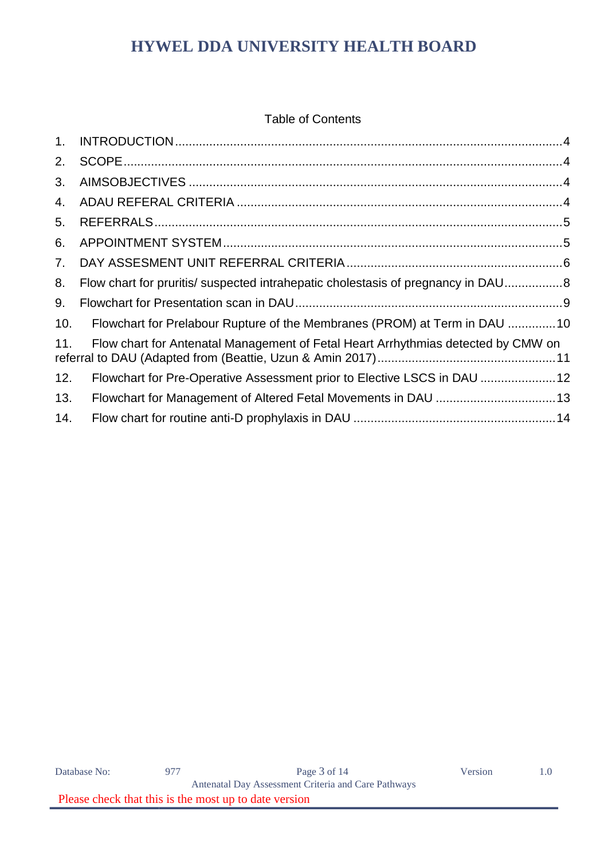#### Table of Contents

| 1.  |                                                                                   |
|-----|-----------------------------------------------------------------------------------|
| 2.  |                                                                                   |
| 3.  |                                                                                   |
| 4.  |                                                                                   |
| 5.  |                                                                                   |
| 6.  |                                                                                   |
| 7.  |                                                                                   |
| 8.  | Flow chart for pruritis/ suspected intrahepatic cholestasis of pregnancy in DAU8  |
| 9.  |                                                                                   |
| 10. | Flowchart for Prelabour Rupture of the Membranes (PROM) at Term in DAU 10         |
| 11. | Flow chart for Antenatal Management of Fetal Heart Arrhythmias detected by CMW on |
| 12. | Flowchart for Pre-Operative Assessment prior to Elective LSCS in DAU  12          |
| 13. | Flowchart for Management of Altered Fetal Movements in DAU  13                    |
| 14. |                                                                                   |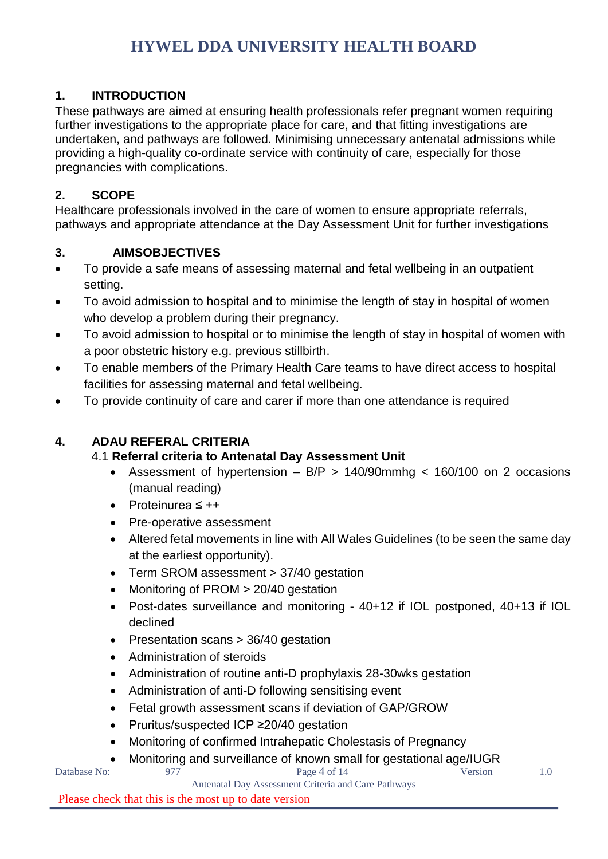### <span id="page-3-0"></span>**1. INTRODUCTION**

These pathways are aimed at ensuring health professionals refer pregnant women requiring further investigations to the appropriate place for care, and that fitting investigations are undertaken, and pathways are followed. Minimising unnecessary antenatal admissions while providing a high-quality co-ordinate service with continuity of care, especially for those pregnancies with complications.

### <span id="page-3-1"></span>**2. SCOPE**

Healthcare professionals involved in the care of women to ensure appropriate referrals, pathways and appropriate attendance at the Day Assessment Unit for further investigations

#### <span id="page-3-2"></span>**3. AIMSOBJECTIVES**

- To provide a safe means of assessing maternal and fetal wellbeing in an outpatient setting.
- To avoid admission to hospital and to minimise the length of stay in hospital of women who develop a problem during their pregnancy.
- To avoid admission to hospital or to minimise the length of stay in hospital of women with a poor obstetric history e.g. previous stillbirth.
- To enable members of the Primary Health Care teams to have direct access to hospital facilities for assessing maternal and fetal wellbeing.
- To provide continuity of care and carer if more than one attendance is required

#### <span id="page-3-3"></span>**4. ADAU REFERAL CRITERIA**

#### 4.1 **Referral criteria to Antenatal Day Assessment Unit**

- Assessment of hypertension  $-$  B/P  $>$  140/90mmhg  $<$  160/100 on 2 occasions (manual reading)
- Proteinurea ≤ ++
- Pre-operative assessment
- Altered fetal movements in line with All Wales Guidelines (to be seen the same day at the earliest opportunity).
- Term SROM assessment > 37/40 gestation
- Monitoring of PROM > 20/40 gestation
- Post-dates surveillance and monitoring 40+12 if IOL postponed, 40+13 if IOL declined
- Presentation scans > 36/40 gestation
- Administration of steroids
- Administration of routine anti-D prophylaxis 28-30 wks gestation
- Administration of anti-D following sensitising event
- Fetal growth assessment scans if deviation of GAP/GROW
- Pruritus/suspected ICP ≥20/40 gestation
- Monitoring of confirmed Intrahepatic Cholestasis of Pregnancy
	- Monitoring and surveillance of known small for gestational age/IUGR

Antenatal Day Assessment Criteria and Care Pathways Please check that this is the most up to date version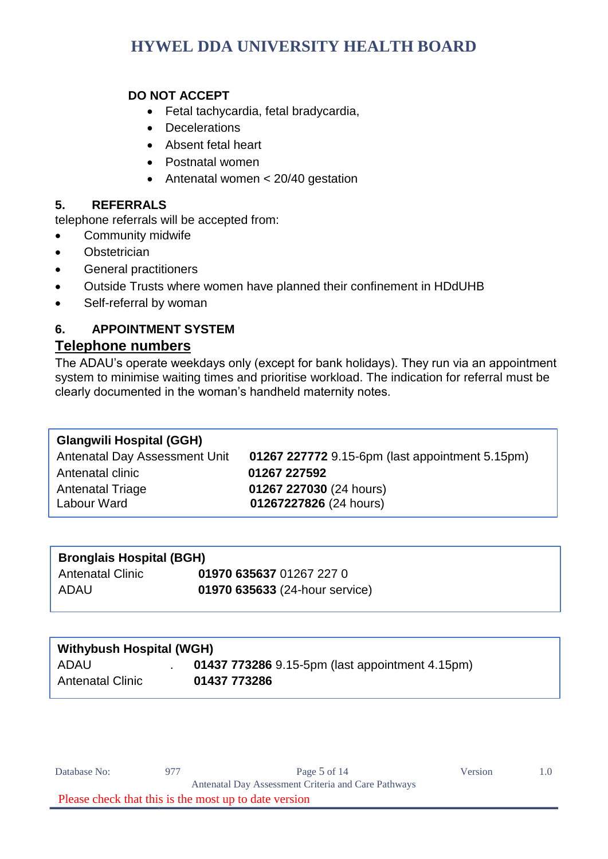#### **DO NOT ACCEPT**

- Fetal tachycardia, fetal bradycardia,
- Decelerations
- Absent fetal heart
- Postnatal women
- Antenatal women < 20/40 gestation

#### <span id="page-4-0"></span>**5. REFERRALS**

telephone referrals will be accepted from:

- Community midwife
- **•** Obstetrician
- General practitioners
- Outside Trusts where women have planned their confinement in HDdUHB
- Self-referral by woman

#### <span id="page-4-1"></span>**6. APPOINTMENT SYSTEM Telephone numbers**

The ADAU's operate weekdays only (except for bank holidays). They run via an appointment system to minimise waiting times and prioritise workload. The indication for referral must be clearly documented in the woman's handheld maternity notes.

#### **Glangwili Hospital (GGH)**

Antenatal Day Assessment Unit **01267 227772** 9.15-6pm (last appointment 5.15pm) Antenatal clinic **01267 227592**  Antenatal Triage **01267 227030** (24 hours) Labour Ward **01267227826** (24 hours)

| <b>Bronglais Hospital (BGH)</b> |                                |  |  |
|---------------------------------|--------------------------------|--|--|
| Antenatal Clinic                | 01970 635637 01267 227 0       |  |  |
| ADAU                            | 01970 635633 (24-hour service) |  |  |

| <b>Withybush Hospital (WGH)</b> |                                                 |  |  |  |
|---------------------------------|-------------------------------------------------|--|--|--|
| <b>ADAU</b>                     | 01437 773286 9.15-5pm (last appointment 4.15pm) |  |  |  |
| <b>Antenatal Clinic</b>         | 01437 773286                                    |  |  |  |

| Database No: | 977                                                   | Page $5$ of 14                                      | Version |  |
|--------------|-------------------------------------------------------|-----------------------------------------------------|---------|--|
|              |                                                       | Antenatal Day Assessment Criteria and Care Pathways |         |  |
|              | Please check that this is the most up to date version |                                                     |         |  |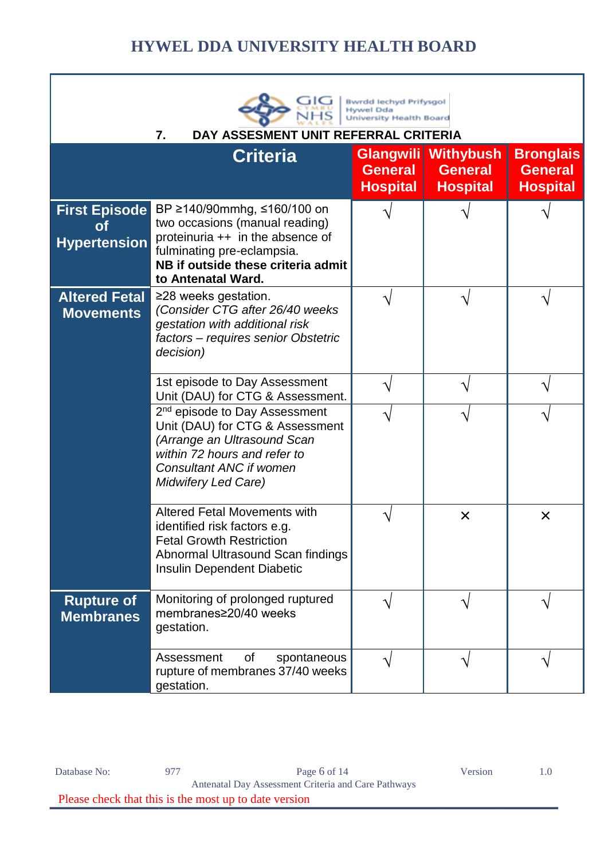<span id="page-5-0"></span>

| <b>Bwrdd lechyd Prifysgol</b><br><b>Hywel Dda</b><br><b>University Health Board</b><br>7.<br><b>DAY ASSESMENT</b><br><b>EFERRAL CRITERIA</b> |                                                                                                                                                                                                                                                                                  |  |   |   |  |  |  |
|----------------------------------------------------------------------------------------------------------------------------------------------|----------------------------------------------------------------------------------------------------------------------------------------------------------------------------------------------------------------------------------------------------------------------------------|--|---|---|--|--|--|
|                                                                                                                                              | Glangwili<br><b>Withybush</b><br><b>Bronglais</b><br><b>Criteria</b><br><b>General</b><br><b>General</b><br><b>General</b><br><b>Hospital</b><br><b>Hospital</b><br><b>Hospital</b>                                                                                              |  |   |   |  |  |  |
| <b>First Episode</b><br><b>Hypertension</b>                                                                                                  | BP ≥140/90mmhg, ≤160/100 on<br>two occasions (manual reading)<br>proteinuria ++ in the absence of<br>fulminating pre-eclampsia.<br>NB if outside these criteria admit<br>to Antenatal Ward.                                                                                      |  |   |   |  |  |  |
| <b>Altered Fetal</b><br><b>Movements</b>                                                                                                     | ≥28 weeks gestation.<br>(Consider CTG after 26/40 weeks<br>gestation with additional risk<br>factors - requires senior Obstetric<br>decision)                                                                                                                                    |  |   |   |  |  |  |
|                                                                                                                                              | 1st episode to Day Assessment<br>Unit (DAU) for CTG & Assessment.<br>2 <sup>nd</sup> episode to Day Assessment<br>Unit (DAU) for CTG & Assessment<br>(Arrange an Ultrasound Scan<br>within 72 hours and refer to<br><b>Consultant ANC if women</b><br><b>Midwifery Led Care)</b> |  |   |   |  |  |  |
|                                                                                                                                              | Altered Fetal Movements with<br>identified risk factors e.g.<br><b>Fetal Growth Restriction</b><br>Abnormal Ultrasound Scan findings<br>Insulin Dependent Diabetic                                                                                                               |  | × | X |  |  |  |
| <b>Rupture of</b><br><b>Membranes</b>                                                                                                        | Monitoring of prolonged ruptured<br>membranes≥20/40 weeks<br>gestation.                                                                                                                                                                                                          |  |   |   |  |  |  |
|                                                                                                                                              | of<br>Assessment<br>spontaneous<br>rupture of membranes 37/40 weeks<br>gestation.                                                                                                                                                                                                |  |   |   |  |  |  |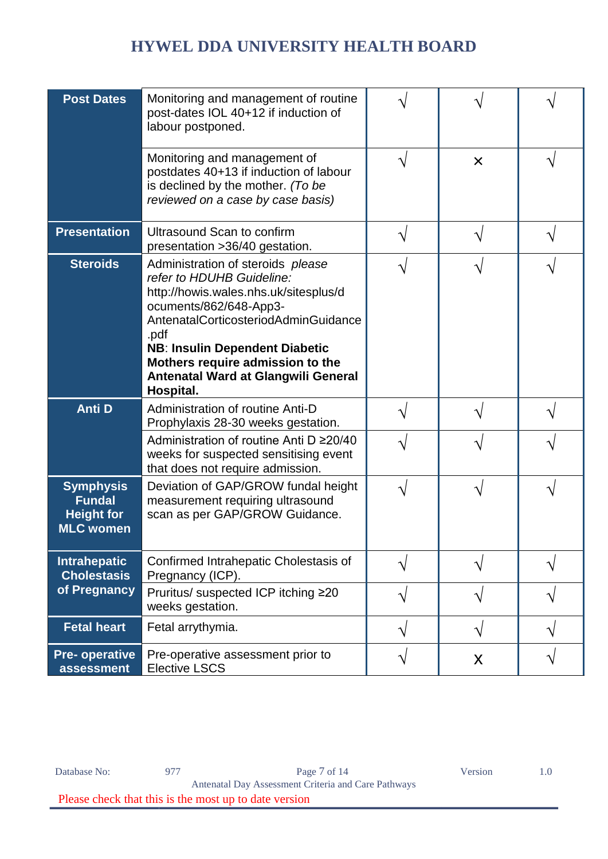| <b>Post Dates</b>                                                          | Monitoring and management of routine<br>post-dates IOL 40+12 if induction of<br>labour postponed.                                                                                                                                                                                                                  |           |   |   |
|----------------------------------------------------------------------------|--------------------------------------------------------------------------------------------------------------------------------------------------------------------------------------------------------------------------------------------------------------------------------------------------------------------|-----------|---|---|
|                                                                            | Monitoring and management of<br>postdates 40+13 if induction of labour<br>is declined by the mother. (To be<br>reviewed on a case by case basis)                                                                                                                                                                   |           | X |   |
| <b>Presentation</b>                                                        | Ultrasound Scan to confirm<br>presentation > 36/40 gestation.                                                                                                                                                                                                                                                      |           |   |   |
| <b>Steroids</b>                                                            | Administration of steroids please<br>refer to HDUHB Guideline:<br>http://howis.wales.nhs.uk/sitesplus/d<br>ocuments/862/648-App3-<br>AntenatalCorticosteriodAdminGuidance<br>.pdf<br><b>NB: Insulin Dependent Diabetic</b><br>Mothers require admission to the<br>Antenatal Ward at Glangwili General<br>Hospital. |           |   |   |
| <b>Anti D</b>                                                              | Administration of routine Anti-D<br>Prophylaxis 28-30 weeks gestation.                                                                                                                                                                                                                                             |           |   |   |
|                                                                            | Administration of routine Anti D ≥20/40<br>weeks for suspected sensitising event<br>that does not require admission.                                                                                                                                                                                               |           |   |   |
| <b>Symphysis</b><br><b>Fundal</b><br><b>Height for</b><br><b>MLC women</b> | Deviation of GAP/GROW fundal height<br>measurement requiring ultrasound<br>scan as per GAP/GROW Guidance.                                                                                                                                                                                                          |           |   |   |
| <b>Intrahepatic</b><br><b>Cholestasis</b>                                  | Confirmed Intrahepatic Cholestasis of<br>Pregnancy (ICP).                                                                                                                                                                                                                                                          |           |   |   |
| of Pregnancy                                                               | Pruritus/ suspected ICP itching ≥20<br>weeks gestation.                                                                                                                                                                                                                                                            | $\sqrt{}$ |   | ٦ |
| <b>Fetal heart</b>                                                         | Fetal arrythymia.                                                                                                                                                                                                                                                                                                  |           |   |   |
| <b>Pre-operative</b><br>assessment                                         | Pre-operative assessment prior to<br><b>Elective LSCS</b>                                                                                                                                                                                                                                                          | ٦         | X | ٦ |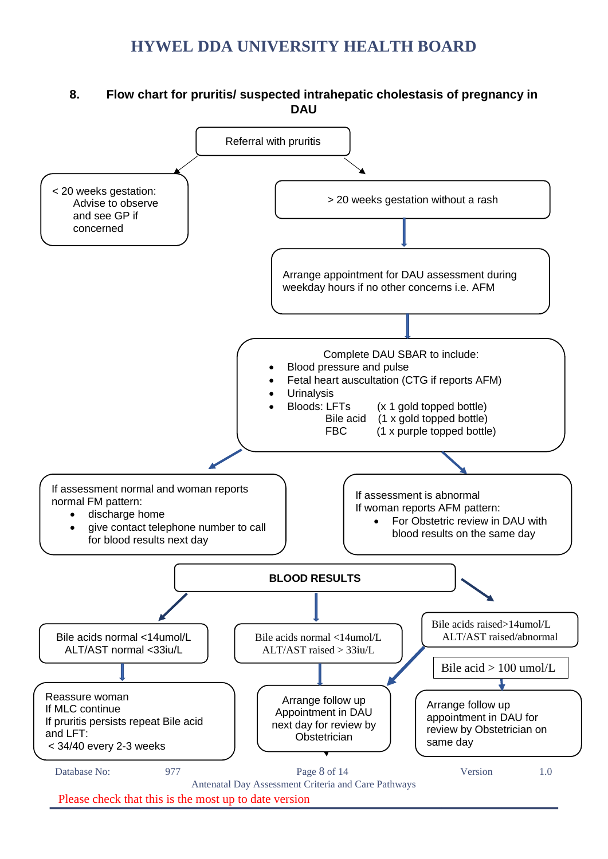#### <span id="page-7-0"></span>**8. Flow chart for pruritis/ suspected intrahepatic cholestasis of pregnancy in DAU**

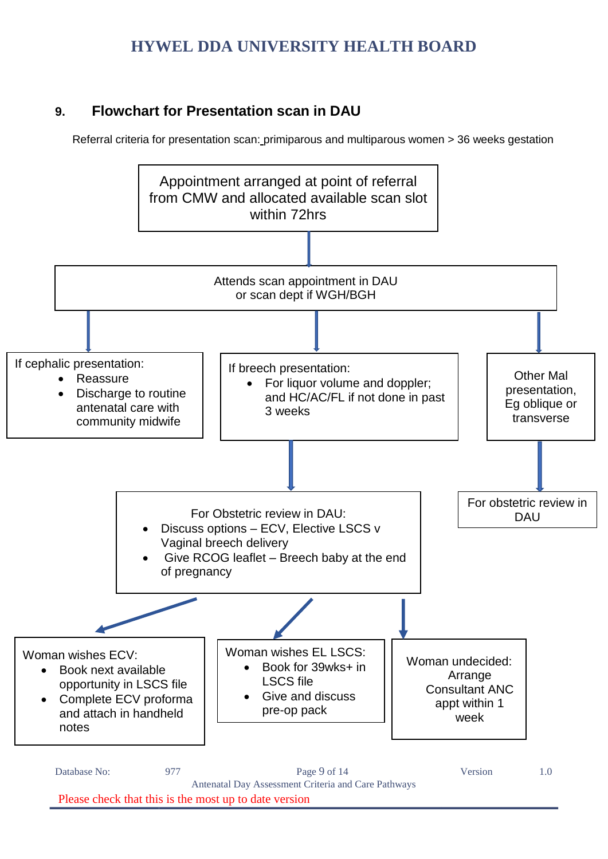### <span id="page-8-0"></span>**9. Flowchart for Presentation scan in DAU**

Referral criteria for presentation scan: primiparous and multiparous women > 36 weeks gestation



Database No: 977 977 Page 9 of 14 Version 1.0 Antenatal Day Assessment Criteria and Care Pathways Please check that this is the most up to date version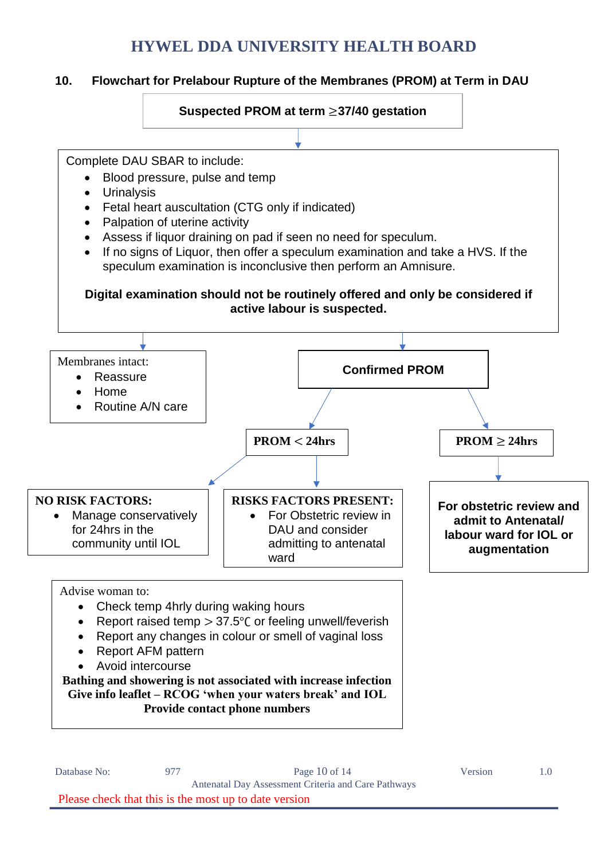#### <span id="page-9-0"></span>**10. Flowchart for Prelabour Rupture of the Membranes (PROM) at Term in DAU**



Complete DAU SBAR to include:

- Blood pressure, pulse and temp
- Urinalysis

 $\overline{1}$ 

- Fetal heart auscultation (CTG only if indicated)
- Palpation of uterine activity
- Assess if liquor draining on pad if seen no need for speculum.
- If no signs of Liquor, then offer a speculum examination and take a HVS. If the speculum examination is inconclusive then perform an Amnisure.

#### **Digital examination should not be routinely offered and only be considered if active labour is suspected.**

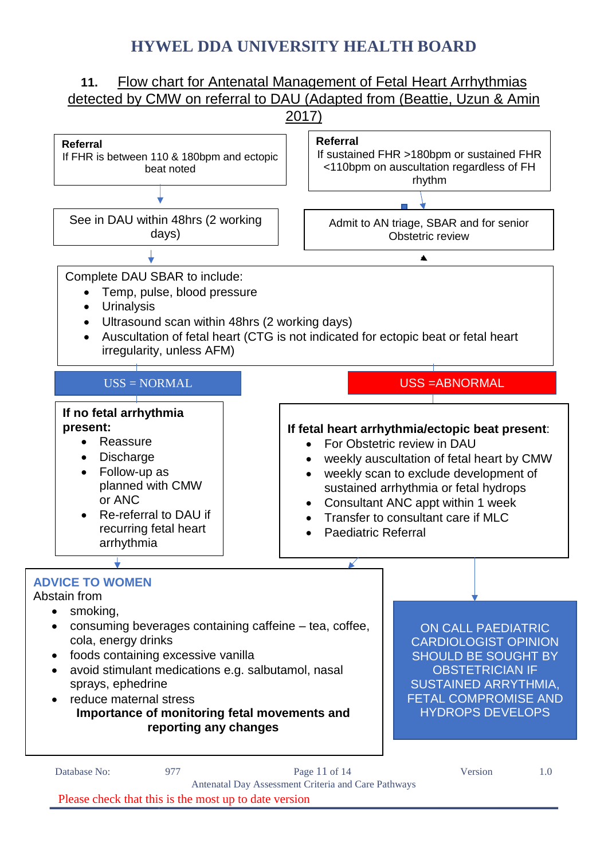<span id="page-10-0"></span>

Please check that this is the most up to date version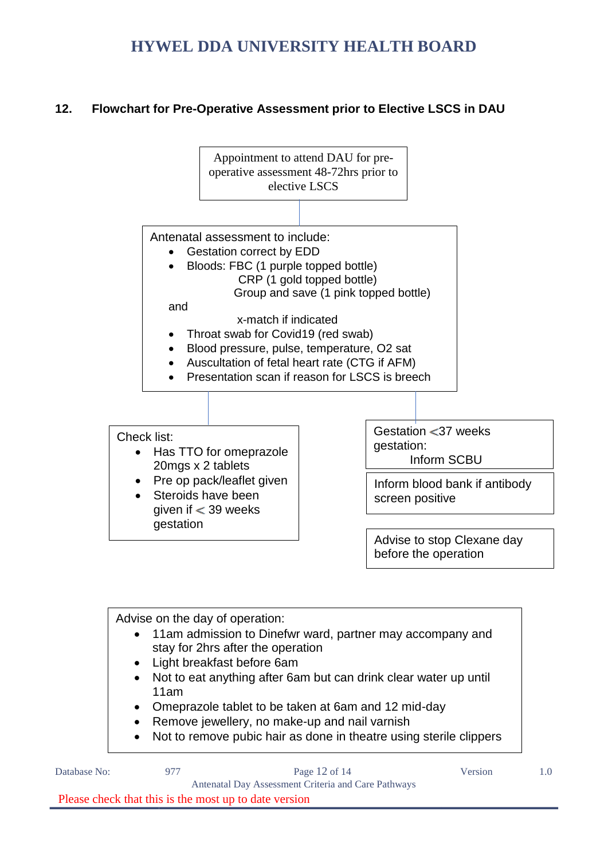#### <span id="page-11-0"></span>**12. Flowchart for Pre-Operative Assessment prior to Elective LSCS in DAU**





Please check that this is the most up to date version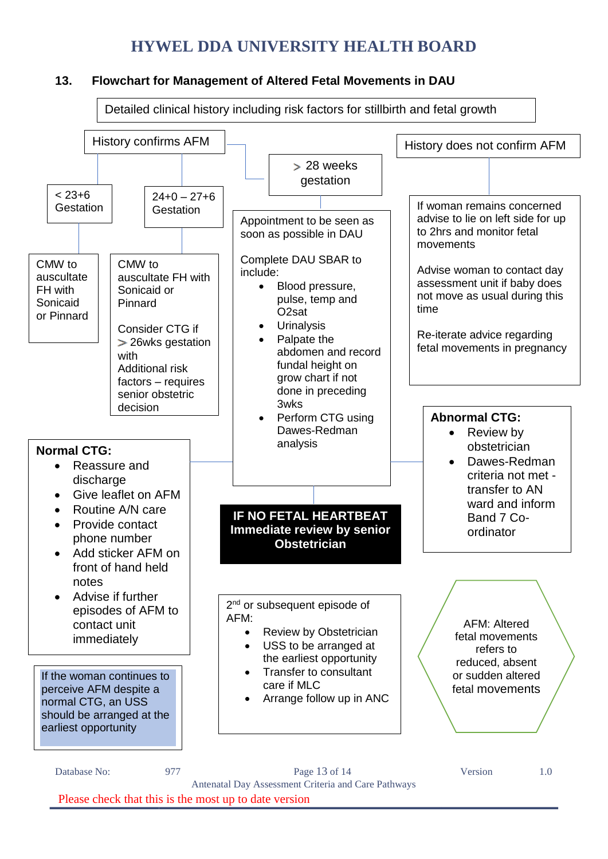#### <span id="page-12-0"></span>**13. Flowchart for Management of Altered Fetal Movements in DAU**



Antenatal Day Assessment Criteria and Care Pathways Please check that this is the most up to date version